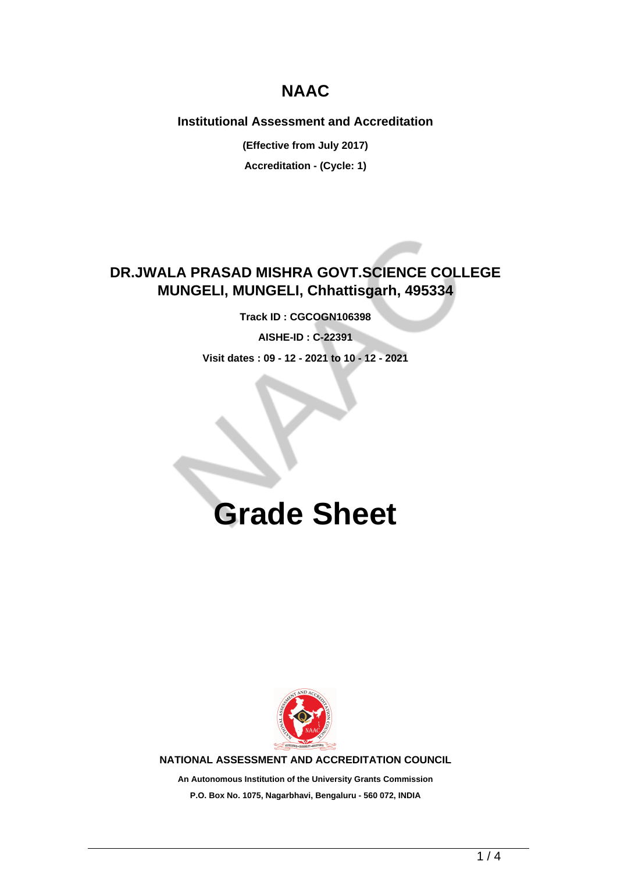## **NAAC**

### **Institutional Assessment and Accreditation**

**(Effective from July 2017)**

**Accreditation - (Cycle: 1)**

### **DR.JWALA PRASAD MISHRA GOVT.SCIENCE COLLEGE MUNGELI, MUNGELI, Chhattisgarh, 495334**

**Track ID : CGCOGN106398**

**AISHE-ID : C-22391**

**Visit dates : 09 - 12 - 2021 to 10 - 12 - 2021**

# **Grade Sheet**



**NATIONAL ASSESSMENT AND ACCREDITATION COUNCIL**

**An Autonomous Institution of the University Grants Commission P.O. Box No. 1075, Nagarbhavi, Bengaluru - 560 072, INDIA**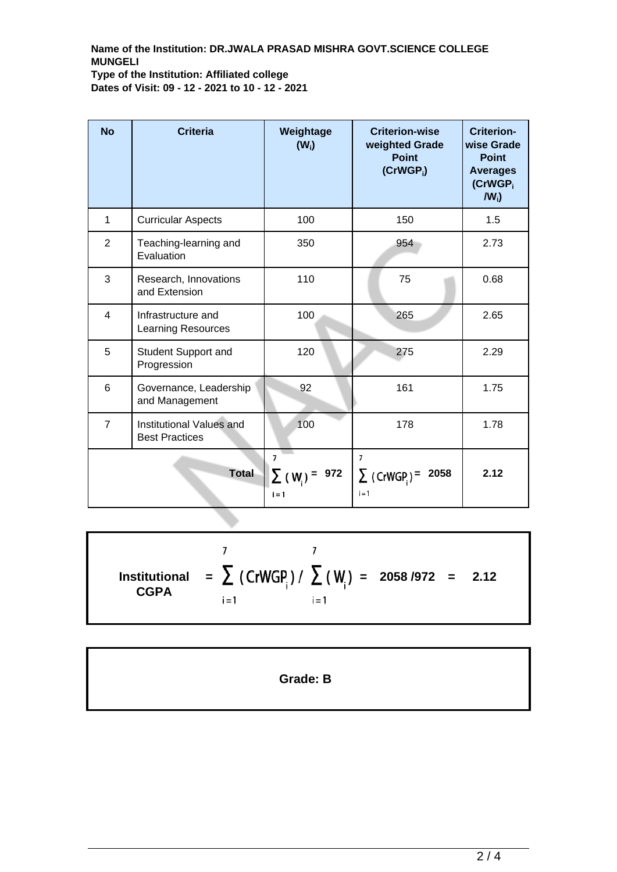### **Name of the Institution: DR.JWALA PRASAD MISHRA GOVT.SCIENCE COLLEGE MUNGELI Type of the Institution: Affiliated college Dates of Visit: 09 - 12 - 2021 to 10 - 12 - 2021**

| <b>No</b>      | <b>Criteria</b>                                   | Weightage<br>$(W_i)$                             | <b>Criterion-wise</b><br>weighted Grade<br><b>Point</b><br>$(CrWGP_i)$ | <b>Criterion-</b><br>wise Grade<br><b>Point</b><br><b>Averages</b><br>(CrWGP <sub>i</sub><br>$IW_i$ |
|----------------|---------------------------------------------------|--------------------------------------------------|------------------------------------------------------------------------|-----------------------------------------------------------------------------------------------------|
| 1              | <b>Curricular Aspects</b>                         | 100                                              | 150                                                                    | 1.5                                                                                                 |
| $\overline{2}$ | Teaching-learning and<br>Evaluation               | 350                                              | 954                                                                    | 2.73                                                                                                |
| 3              | Research, Innovations<br>and Extension            | 110                                              | 75                                                                     | 0.68                                                                                                |
| 4              | Infrastructure and<br>Learning Resources          | 100                                              | 265                                                                    | 2.65                                                                                                |
| 5              | Student Support and<br>Progression                | 120                                              | 275                                                                    | 2.29                                                                                                |
| 6              | Governance, Leadership<br>and Management          | 92                                               | 161                                                                    | 1.75                                                                                                |
| $\overline{7}$ | Institutional Values and<br><b>Best Practices</b> | 100                                              | 178                                                                    | 1.78                                                                                                |
| <b>Total</b>   |                                                   | $\overline{7}$<br>972<br>$\Sigma$ (W)<br>$i = 1$ | $\overline{7}$<br>$\sum$ (CrWGP) =<br>2058<br>$i = 1$                  | 2.12                                                                                                |

 $\overline{7}$  $\overline{7}$ **=**  $\sum$  (CrWGP<sub>i</sub>)/  $\sum$  (W<sub>i</sub>) = 2058/972 = 2.12 **Institutional CGPA**  $i = 1$  $i = 1$ 

**Grade: B**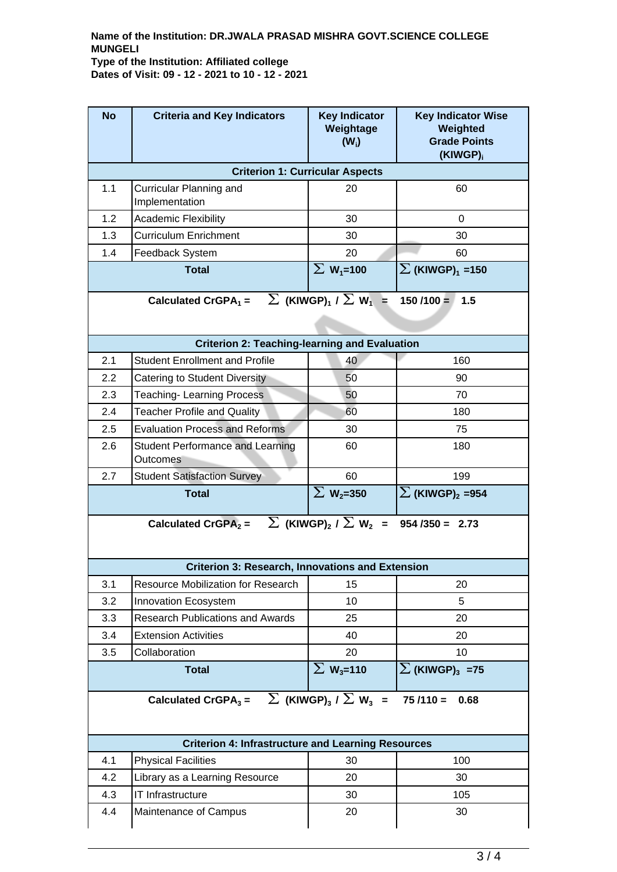#### **Name of the Institution: DR.JWALA PRASAD MISHRA GOVT.SCIENCE COLLEGE MUNGELI Type of the Institution: Affiliated college Dates of Visit: 09 - 12 - 2021 to 10 - 12 - 2021**

| <b>No</b>                                                                                                      | <b>Criteria and Key Indicators</b>                        | <b>Key Indicator</b><br>Weightage<br>$(W_i)$          | <b>Key Indicator Wise</b><br>Weighted<br><b>Grade Points</b><br>(KIWGP) <sub>i</sub> |  |  |  |  |
|----------------------------------------------------------------------------------------------------------------|-----------------------------------------------------------|-------------------------------------------------------|--------------------------------------------------------------------------------------|--|--|--|--|
| <b>Criterion 1: Curricular Aspects</b>                                                                         |                                                           |                                                       |                                                                                      |  |  |  |  |
| 1.1                                                                                                            | Curricular Planning and<br>Implementation                 | 20                                                    | 60                                                                                   |  |  |  |  |
| 1.2                                                                                                            | <b>Academic Flexibility</b>                               | 30                                                    | $\Omega$                                                                             |  |  |  |  |
| 1.3                                                                                                            | <b>Curriculum Enrichment</b>                              | 30                                                    | 30                                                                                   |  |  |  |  |
| 1.4                                                                                                            | <b>Feedback System</b>                                    | 20                                                    | 60                                                                                   |  |  |  |  |
|                                                                                                                | <b>Total</b>                                              | $\Sigma$ W <sub>1</sub> =100                          | $\sum$ (KIWGP) <sub>1</sub> =150                                                     |  |  |  |  |
| $\sum$ (KIWGP) <sub>1</sub> / $\sum$ W <sub>1</sub> =<br>Calculated CrGPA <sub>1</sub> =<br>$150/100 =$<br>1.5 |                                                           |                                                       |                                                                                      |  |  |  |  |
| <b>Criterion 2: Teaching-learning and Evaluation</b>                                                           |                                                           |                                                       |                                                                                      |  |  |  |  |
| 2.1                                                                                                            | <b>Student Enrollment and Profile</b>                     | 40                                                    | 160                                                                                  |  |  |  |  |
| 2.2                                                                                                            | Catering to Student Diversity                             | 50                                                    | 90                                                                                   |  |  |  |  |
| 2.3                                                                                                            | <b>Teaching-Learning Process</b>                          | 50                                                    | 70                                                                                   |  |  |  |  |
| 2.4                                                                                                            | <b>Teacher Profile and Quality</b>                        | 60                                                    | 180                                                                                  |  |  |  |  |
| 2.5                                                                                                            | <b>Evaluation Process and Reforms</b>                     | 30                                                    | 75                                                                                   |  |  |  |  |
| 2.6                                                                                                            | <b>Student Performance and Learning</b><br>Outcomes       | 60                                                    | 180                                                                                  |  |  |  |  |
| 2.7                                                                                                            | <b>Student Satisfaction Survey</b>                        | 60                                                    | 199                                                                                  |  |  |  |  |
|                                                                                                                | <b>Total</b>                                              | $\Sigma$ W <sub>2</sub> =350                          | $\sum$ (KIWGP) <sub>2</sub> =954                                                     |  |  |  |  |
| Calculated CrGPA <sub>2</sub> = $\sum$ (KIWGP) <sub>2</sub> / $\sum$ W <sub>2</sub> =<br>$954 / 350 = 2.73$    |                                                           |                                                       |                                                                                      |  |  |  |  |
| <b>Criterion 3: Research, Innovations and Extension</b>                                                        |                                                           |                                                       |                                                                                      |  |  |  |  |
| 3.1                                                                                                            | Resource Mobilization for Research                        | 15                                                    | 20                                                                                   |  |  |  |  |
| 3.2                                                                                                            | Innovation Ecosystem                                      | 10                                                    | 5                                                                                    |  |  |  |  |
| 3.3                                                                                                            | <b>Research Publications and Awards</b>                   | 25                                                    | 20                                                                                   |  |  |  |  |
| 3.4                                                                                                            | <b>Extension Activities</b>                               | 40                                                    | 20                                                                                   |  |  |  |  |
| 3.5                                                                                                            |                                                           |                                                       |                                                                                      |  |  |  |  |
|                                                                                                                | Collaboration                                             | 20                                                    | 10                                                                                   |  |  |  |  |
|                                                                                                                | <b>Total</b>                                              | $\Sigma$ W <sub>3</sub> =110                          | $\sum$ (KIWGP) <sub>3</sub> =75                                                      |  |  |  |  |
|                                                                                                                | Calculated CrGPA $_3$ =                                   | $\sum$ (KIWGP) <sub>3</sub> / $\sum$ W <sub>3</sub> = | $75/110 =$<br>0.68                                                                   |  |  |  |  |
|                                                                                                                | <b>Criterion 4: Infrastructure and Learning Resources</b> |                                                       |                                                                                      |  |  |  |  |
| 4.1                                                                                                            | <b>Physical Facilities</b>                                | 30                                                    | 100                                                                                  |  |  |  |  |
| 4.2                                                                                                            | Library as a Learning Resource                            | 20                                                    | 30                                                                                   |  |  |  |  |
| 4.3                                                                                                            | IT Infrastructure                                         | 30                                                    | 105                                                                                  |  |  |  |  |